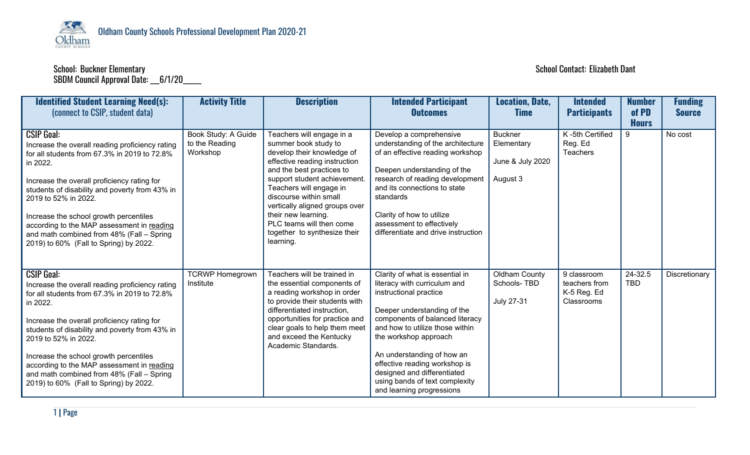

## SBDM Council Approval Date: \_\_\_6/1/20\_\_\_\_\_\_

## School: Buckner Elementary School Contact: Elizabeth Dant

| <b>Identified Student Learning Need(s):</b><br>(connect to CSIP, student data)                                                                                                                                                                                                                                                                                                                                                           | <b>Activity Title</b>                             | <b>Description</b>                                                                                                                                                                                                                                                                                                                                                   | <b>Intended Participant</b><br><b>Outcomes</b>                                                                                                                                                                                                                                                                                                                                       | <b>Location, Date,</b><br><b>Time</b>                        | <b>Intended</b><br><b>Participants</b>                    | <b>Number</b><br>of PD<br><b>Hours</b> | <b>Funding</b><br><b>Source</b> |
|------------------------------------------------------------------------------------------------------------------------------------------------------------------------------------------------------------------------------------------------------------------------------------------------------------------------------------------------------------------------------------------------------------------------------------------|---------------------------------------------------|----------------------------------------------------------------------------------------------------------------------------------------------------------------------------------------------------------------------------------------------------------------------------------------------------------------------------------------------------------------------|--------------------------------------------------------------------------------------------------------------------------------------------------------------------------------------------------------------------------------------------------------------------------------------------------------------------------------------------------------------------------------------|--------------------------------------------------------------|-----------------------------------------------------------|----------------------------------------|---------------------------------|
| <b>CSIP Goal:</b><br>Increase the overall reading proficiency rating<br>for all students from 67.3% in 2019 to 72.8%<br>in 2022.<br>Increase the overall proficiency rating for<br>students of disability and poverty from 43% in<br>2019 to 52% in 2022.<br>Increase the school growth percentiles<br>according to the MAP assessment in reading<br>and math combined from 48% (Fall - Spring<br>2019) to 60% (Fall to Spring) by 2022. | Book Study: A Guide<br>to the Reading<br>Workshop | Teachers will engage in a<br>summer book study to<br>develop their knowledge of<br>effective reading instruction<br>and the best practices to<br>support student achievement.<br>Teachers will engage in<br>discourse within small<br>vertically aligned groups over<br>their new learning.<br>PLC teams will then come<br>together to synthesize their<br>learning. | Develop a comprehensive<br>understanding of the architecture<br>of an effective reading workshop<br>Deepen understanding of the<br>research of reading development<br>and its connections to state<br>standards<br>Clarity of how to utilize<br>assessment to effectively<br>differentiate and drive instruction                                                                     | <b>Buckner</b><br>Elementary<br>June & July 2020<br>August 3 | K-5th Certified<br>Reg. Ed<br><b>Teachers</b>             | 9                                      | No cost                         |
| <b>CSIP Goal:</b><br>Increase the overall reading proficiency rating<br>for all students from 67.3% in 2019 to 72.8%<br>in 2022.<br>Increase the overall proficiency rating for<br>students of disability and poverty from 43% in<br>2019 to 52% in 2022.<br>Increase the school growth percentiles<br>according to the MAP assessment in reading<br>and math combined from 48% (Fall - Spring<br>2019) to 60% (Fall to Spring) by 2022. | <b>TCRWP Homegrown</b><br>Institute               | Teachers will be trained in<br>the essential components of<br>a reading workshop in order<br>to provide their students with<br>differentiated instruction,<br>opportunities for practice and<br>clear goals to help them meet<br>and exceed the Kentucky<br>Academic Standards.                                                                                      | Clarity of what is essential in<br>literacy with curriculum and<br>instructional practice<br>Deeper understanding of the<br>components of balanced literacy<br>and how to utilize those within<br>the workshop approach<br>An understanding of how an<br>effective reading workshop is<br>designed and differentiated<br>using bands of text complexity<br>and learning progressions | <b>Oldham County</b><br>Schools-TBD<br><b>July 27-31</b>     | 9 classroom<br>teachers from<br>K-5 Reg. Ed<br>Classrooms | 24-32.5<br>TBD                         | Discretionary                   |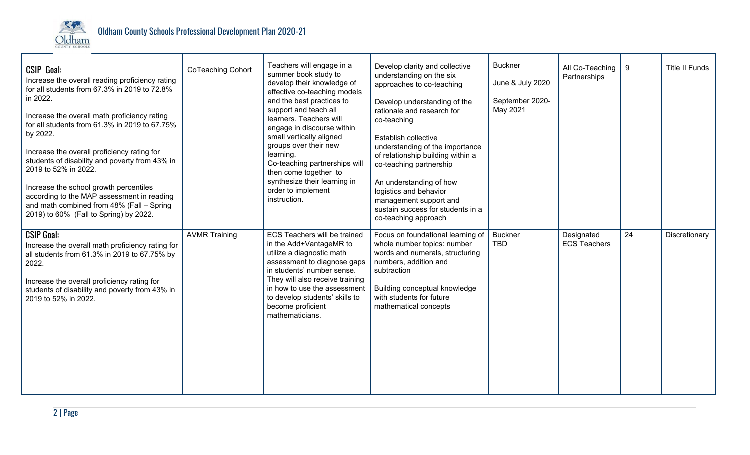

| <b>CSIP Goal:</b><br>Increase the overall reading proficiency rating<br>for all students from 67.3% in 2019 to 72.8%<br>in 2022.<br>Increase the overall math proficiency rating<br>for all students from 61.3% in 2019 to 67.75%<br>by 2022.<br>Increase the overall proficiency rating for<br>students of disability and poverty from 43% in<br>2019 to 52% in 2022.<br>Increase the school growth percentiles<br>according to the MAP assessment in reading<br>and math combined from 48% (Fall - Spring<br>2019) to 60% (Fall to Spring) by 2022. | CoTeaching Cohort    | Teachers will engage in a<br>summer book study to<br>develop their knowledge of<br>effective co-teaching models<br>and the best practices to<br>support and teach all<br>learners. Teachers will<br>engage in discourse within<br>small vertically aligned<br>groups over their new<br>learning.<br>Co-teaching partnerships will<br>then come together to<br>synthesize their learning in<br>order to implement<br>instruction. | Develop clarity and collective<br>understanding on the six<br>approaches to co-teaching<br>Develop understanding of the<br>rationale and research for<br>co-teaching<br>Establish collective<br>understanding of the importance<br>of relationship building within a<br>co-teaching partnership<br>An understanding of how<br>logistics and behavior<br>management support and<br>sustain success for students in a<br>co-teaching approach | <b>Buckner</b><br>June & July 2020<br>September 2020-<br>May 2021 | All Co-Teaching<br>Partnerships   | 9  | <b>Title II Funds</b> |
|-------------------------------------------------------------------------------------------------------------------------------------------------------------------------------------------------------------------------------------------------------------------------------------------------------------------------------------------------------------------------------------------------------------------------------------------------------------------------------------------------------------------------------------------------------|----------------------|----------------------------------------------------------------------------------------------------------------------------------------------------------------------------------------------------------------------------------------------------------------------------------------------------------------------------------------------------------------------------------------------------------------------------------|---------------------------------------------------------------------------------------------------------------------------------------------------------------------------------------------------------------------------------------------------------------------------------------------------------------------------------------------------------------------------------------------------------------------------------------------|-------------------------------------------------------------------|-----------------------------------|----|-----------------------|
| <b>CSIP Goal:</b><br>Increase the overall math proficiency rating for<br>all students from 61.3% in 2019 to 67.75% by<br>2022.<br>Increase the overall proficiency rating for<br>students of disability and poverty from 43% in<br>2019 to 52% in 2022.                                                                                                                                                                                                                                                                                               | <b>AVMR Training</b> | ECS Teachers will be trained<br>in the Add+VantageMR to<br>utilize a diagnostic math<br>assessment to diagnose gaps<br>in students' number sense.<br>They will also receive training<br>in how to use the assessment<br>to develop students' skills to<br>become proficient<br>mathematicians.                                                                                                                                   | Focus on foundational learning of<br>whole number topics: number<br>words and numerals, structuring<br>numbers, addition and<br>subtraction<br>Building conceptual knowledge<br>with students for future<br>mathematical concepts                                                                                                                                                                                                           | <b>Buckner</b><br><b>TBD</b>                                      | Designated<br><b>ECS Teachers</b> | 24 | Discretionary         |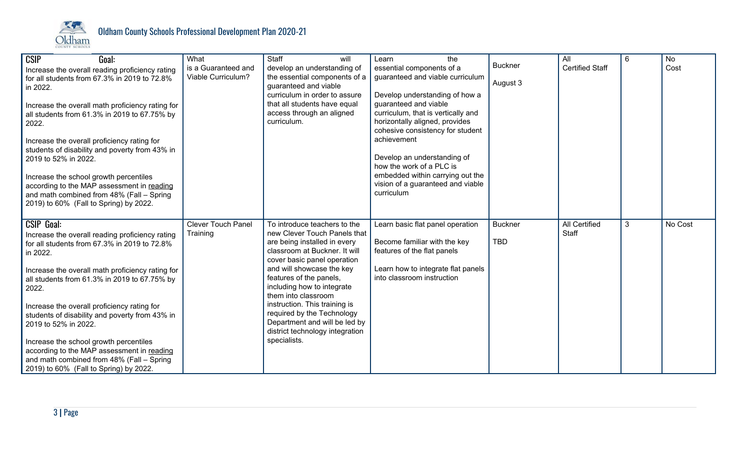

| <b>CSIP</b><br>Goal:<br>Increase the overall reading proficiency rating<br>for all students from 67.3% in 2019 to 72.8%<br>in 2022.<br>Increase the overall math proficiency rating for<br>all students from 61.3% in 2019 to 67.75% by<br>2022.<br>Increase the overall proficiency rating for<br>students of disability and poverty from 43% in<br>2019 to 52% in 2022.<br>Increase the school growth percentiles<br>according to the MAP assessment in reading<br>and math combined from 48% (Fall - Spring<br>2019) to 60% (Fall to Spring) by 2022. | What<br>is a Guaranteed and<br>Viable Curriculum? | Staff<br>will<br>develop an understanding of<br>the essential components of a<br>guaranteed and viable<br>curriculum in order to assure<br>that all students have equal<br>access through an aligned<br>curriculum.                                                                                                                                                                                                          | the<br>Learn<br>essential components of a<br>guaranteed and viable curriculum<br>Develop understanding of how a<br>guaranteed and viable<br>curriculum, that is vertically and<br>horizontally aligned, provides<br>cohesive consistency for student<br>achievement<br>Develop an understanding of<br>how the work of a PLC is<br>embedded within carrying out the<br>vision of a guaranteed and viable<br>curriculum | <b>Buckner</b><br>August 3   | All<br><b>Certified Staff</b> | 6            | <b>No</b><br>Cost |
|----------------------------------------------------------------------------------------------------------------------------------------------------------------------------------------------------------------------------------------------------------------------------------------------------------------------------------------------------------------------------------------------------------------------------------------------------------------------------------------------------------------------------------------------------------|---------------------------------------------------|------------------------------------------------------------------------------------------------------------------------------------------------------------------------------------------------------------------------------------------------------------------------------------------------------------------------------------------------------------------------------------------------------------------------------|-----------------------------------------------------------------------------------------------------------------------------------------------------------------------------------------------------------------------------------------------------------------------------------------------------------------------------------------------------------------------------------------------------------------------|------------------------------|-------------------------------|--------------|-------------------|
| <b>CSIP Goal:</b><br>Increase the overall reading proficiency rating<br>for all students from 67.3% in 2019 to 72.8%<br>in 2022.<br>Increase the overall math proficiency rating for<br>all students from 61.3% in 2019 to 67.75% by<br>2022.<br>Increase the overall proficiency rating for<br>students of disability and poverty from 43% in<br>2019 to 52% in 2022.<br>Increase the school growth percentiles<br>according to the MAP assessment in reading<br>and math combined from 48% (Fall - Spring<br>2019) to 60% (Fall to Spring) by 2022.    | <b>Clever Touch Panel</b><br>Training             | To introduce teachers to the<br>new Clever Touch Panels that<br>are being installed in every<br>classroom at Buckner. It will<br>cover basic panel operation<br>and will showcase the key<br>features of the panels,<br>including how to integrate<br>them into classroom<br>instruction. This training is<br>required by the Technology<br>Department and will be led by<br>district technology integration<br>specialists. | Learn basic flat panel operation<br>Become familiar with the key<br>features of the flat panels<br>Learn how to integrate flat panels<br>into classroom instruction                                                                                                                                                                                                                                                   | <b>Buckner</b><br><b>TBD</b> | <b>All Certified</b><br>Staff | $\mathbf{3}$ | No Cost           |